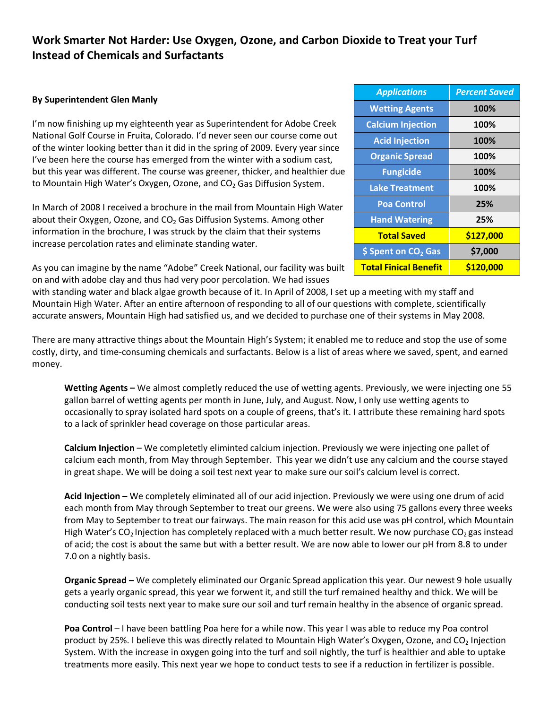## **Work Smarter Not Harder: Use Oxygen, Ozone, and Carbon Dioxide to Treat your Turf Instead of Chemicals and Surfactants**

## **By Superintendent Glen Manly**

I'm now finishing up my eighteenth year as Superintendent for Adobe Creek National Golf Course in Fruita, Colorado. I'd never seen our course come out of the winter looking better than it did in the spring of 2009. Every year since I've been here the course has emerged from the winter with a sodium cast, but this year was different. The course was greener, thicker, and healthier due to Mountain High Water's Oxygen, Ozone, and CO<sub>2</sub> Gas Diffusion System.

In March of 2008 I received a brochure in the mail from Mountain High Water about their Oxygen, Ozone, and  $CO<sub>2</sub>$  Gas Diffusion Systems. Among other information in the brochure, I was struck by the claim that their systems increase percolation rates and eliminate standing water.

As you can imagine by the name "Adobe" Creek National, our facility was built on and with adobe clay and thus had very poor percolation. We had issues

with standing water and black algae growth because of it. In April of 2008, I set up a meeting with my staff and Mountain High Water. After an entire afternoon of responding to all of our questions with complete, scientifically accurate answers, Mountain High had satisfied us, and we decided to purchase one of their systems in May 2008.

There are many attractive things about the Mountain High's System; it enabled me to reduce and stop the use of some costly, dirty, and time-consuming chemicals and surfactants. Below is a list of areas where we saved, spent, and earned money.

**Wetting Agents –** We almost completly reduced the use of wetting agents. Previously, we were injecting one 55 gallon barrel of wetting agents per month in June, July, and August. Now, I only use wetting agents to occasionally to spray isolated hard spots on a couple of greens, that's it. I attribute these remaining hard spots to a lack of sprinkler head coverage on those particular areas.

**Calcium Injection** – We completetly eliminted calcium injection. Previously we were injecting one pallet of calcium each month, from May through September. This year we didn't use any calcium and the course stayed in great shape. We will be doing a soil test next year to make sure our soil's calcium level is correct.

**Acid Injection –** We completely eliminated all of our acid injection. Previously we were using one drum of acid each month from May through September to treat our greens. We were also using 75 gallons every three weeks from May to September to treat our fairways. The main reason for this acid use was pH control, which Mountain High Water's CO<sub>2</sub> Injection has completely replaced with a much better result. We now purchase CO<sub>2</sub> gas instead of acid; the cost is about the same but with a better result. We are now able to lower our pH from 8.8 to under 7.0 on a nightly basis.

**Organic Spread –** We completely eliminated our Organic Spread application this year. Our newest 9 hole usually gets a yearly organic spread, this year we forwent it, and still the turf remained healthy and thick. We will be conducting soil tests next year to make sure our soil and turf remain healthy in the absence of organic spread.

**Poa Control** – I have been battling Poa here for a while now. This year I was able to reduce my Poa control product by 25%. I believe this was directly related to Mountain High Water's Oxygen, Ozone, and CO<sub>2</sub> Injection System. With the increase in oxygen going into the turf and soil nightly, the turf is healthier and able to uptake treatments more easily. This next year we hope to conduct tests to see if a reduction in fertilizer is possible.

| <b>Applications</b>             | <b>Percent Saved</b> |
|---------------------------------|----------------------|
| <b>Wetting Agents</b>           | 100%                 |
| <b>Calcium Injection</b>        | 100%                 |
| <b>Acid Injection</b>           | 100%                 |
| <b>Organic Spread</b>           | 100%                 |
| <b>Fungicide</b>                | 100%                 |
| <b>Lake Treatment</b>           | 100%                 |
| <b>Poa Control</b>              | 25%                  |
| <b>Hand Watering</b>            | 25%                  |
| <b>Total Saved</b>              | \$127,000            |
| \$ Spent on CO <sub>2</sub> Gas | \$7,000              |
| <b>Total Finical Benefit</b>    | \$120,000            |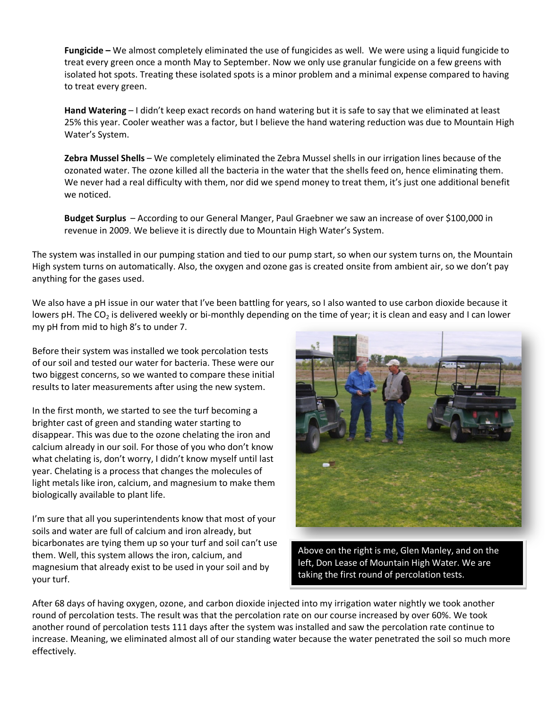**Fungicide –** We almost completely eliminated the use of fungicides as well. We were using a liquid fungicide to treat every green once a month May to September. Now we only use granular fungicide on a few greens with isolated hot spots. Treating these isolated spots is a minor problem and a minimal expense compared to having to treat every green.

**Hand Watering** – I didn't keep exact records on hand watering but it is safe to say that we eliminated at least 25% this year. Cooler weather was a factor, but I believe the hand watering reduction was due to Mountain High Water's System.

**Zebra Mussel Shells** – We completely eliminated the Zebra Mussel shells in our irrigation lines because of the ozonated water. The ozone killed all the bacteria in the water that the shells feed on, hence eliminating them. We never had a real difficulty with them, nor did we spend money to treat them, it's just one additional benefit we noticed.

**Budget Surplus** – According to our General Manger, Paul Graebner we saw an increase of over \$100,000 in revenue in 2009. We believe it is directly due to Mountain High Water's System.

The system was installed in our pumping station and tied to our pump start, so when our system turns on, the Mountain High system turns on automatically. Also, the oxygen and ozone gas is created onsite from ambient air, so we don't pay anything for the gases used.

We also have a pH issue in our water that I've been battling for years, so I also wanted to use carbon dioxide because it lowers pH. The  $CO<sub>2</sub>$  is delivered weekly or bi-monthly depending on the time of year; it is clean and easy and I can lower my pH from mid to high 8's to under 7.

Before their system was installed we took percolation tests of our soil and tested our water for bacteria. These were our two biggest concerns, so we wanted to compare these initial results to later measurements after using the new system.

In the first month, we started to see the turf becoming a brighter cast of green and standing water starting to disappear. This was due to the ozone chelating the iron and calcium already in our soil. For those of you who don't know what chelating is, don't worry, I didn't know myself until last year. Chelating is a process that changes the molecules of light metals like iron, calcium, and magnesium to make them biologically available to plant life.

I'm sure that all you superintendents know that most of your soils and water are full of calcium and iron already, but bicarbonates are tying them up so your turf and soil can't use them. Well, this system allows the iron, calcium, and magnesium that already exist to be used in your soil and by your turf.



Above on the right is me, Glen Manley, and on the left, Don Lease of Mountain High Water. We are taking the first round of percolation tests.

After 68 days of having oxygen, ozone, and carbon dioxide injected into my irrigation water nightly we took another round of percolation tests. The result was that the percolation rate on our course increased by over 60%. We took another round of percolation tests 111 days after the system was installed and saw the percolation rate continue to increase. Meaning, we eliminated almost all of our standing water because the water penetrated the soil so much more effectively.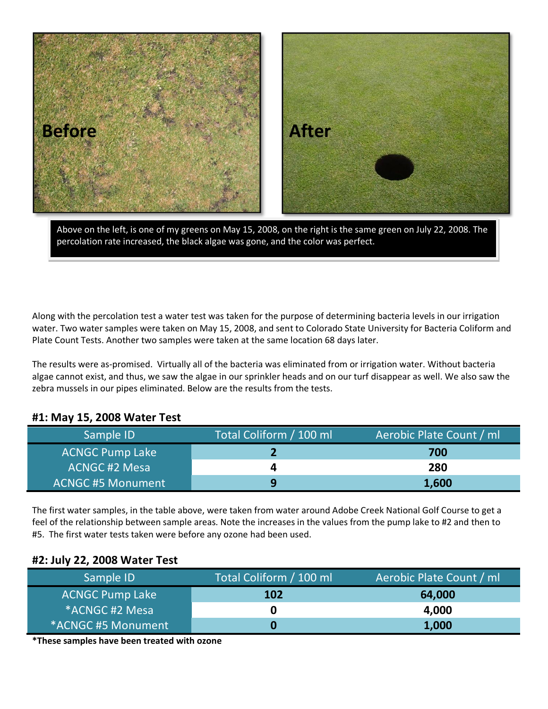

Above on the left, is one of my greens on May 15, 2008, on the right is the same green on July 22, 2008. The percolation rate increased, the black algae was gone, and the color was perfect.

Along with the percolation test a water test was taken for the purpose of determining bacteria levels in our irrigation water. Two water samples were taken on May 15, 2008, and sent to Colorado State University for Bacteria Coliform and Plate Count Tests. Another two samples were taken at the same location 68 days later.

The results were as-promised. Virtually all of the bacteria was eliminated from or irrigation water. Without bacteria algae cannot exist, and thus, we saw the algae in our sprinkler heads and on our turf disappear as well. We also saw the zebra mussels in our pipes eliminated. Below are the results from the tests.

## **#1: May 15, 2008 Water Test**

| Sample ID                | Total Coliform / 100 ml | Aerobic Plate Count / ml |
|--------------------------|-------------------------|--------------------------|
| <b>ACNGC Pump Lake</b>   |                         | 700                      |
| <b>ACNGC #2 Mesa</b>     |                         | 280                      |
| <b>ACNGC #5 Monument</b> | a                       | 1,600                    |

The first water samples, in the table above, were taken from water around Adobe Creek National Golf Course to get a feel of the relationship between sample areas. Note the increases in the values from the pump lake to #2 and then to #5. The first water tests taken were before any ozone had been used.

## **#2: July 22, 2008 Water Test**

| Sample ID                  | Total Coliform / 100 ml | Aerobic Plate Count / ml |
|----------------------------|-------------------------|--------------------------|
| <b>ACNGC Pump Lake</b>     | <b>102</b>              | 64,000                   |
| *ACNGC #2 Mesa             |                         | 4,000                    |
| <b>ACNGC #5 Monument</b> * |                         | 1,000                    |

**\*These samples have been treated with ozone**